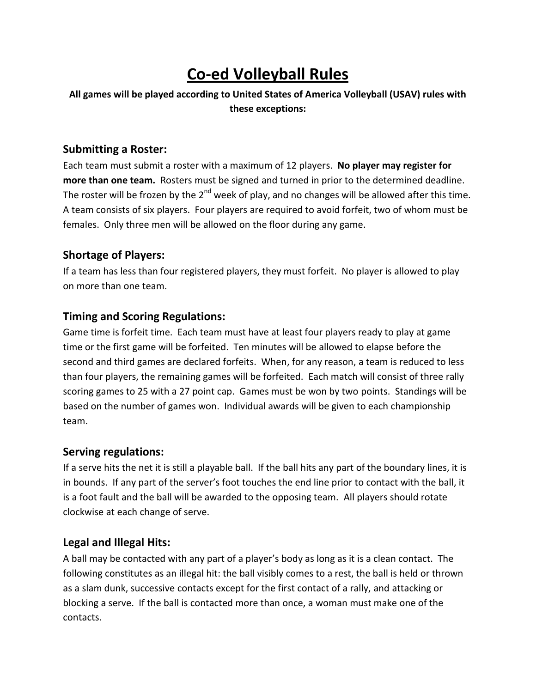# **Co-ed Volleyball Rules**

**All games will be played according to United States of America Volleyball (USAV) rules with these exceptions:**

#### **Submitting a Roster:**

Each team must submit a roster with a maximum of 12 players. **No player may register for more than one team.** Rosters must be signed and turned in prior to the determined deadline. The roster will be frozen by the  $2^{nd}$  week of play, and no changes will be allowed after this time. A team consists of six players. Four players are required to avoid forfeit, two of whom must be females. Only three men will be allowed on the floor during any game.

#### **Shortage of Players:**

If a team has less than four registered players, they must forfeit. No player is allowed to play on more than one team.

#### **Timing and Scoring Regulations:**

Game time is forfeit time. Each team must have at least four players ready to play at game time or the first game will be forfeited. Ten minutes will be allowed to elapse before the second and third games are declared forfeits. When, for any reason, a team is reduced to less than four players, the remaining games will be forfeited. Each match will consist of three rally scoring games to 25 with a 27 point cap. Games must be won by two points. Standings will be based on the number of games won. Individual awards will be given to each championship team.

#### **Serving regulations:**

If a serve hits the net it is still a playable ball. If the ball hits any part of the boundary lines, it is in bounds. If any part of the server's foot touches the end line prior to contact with the ball, it is a foot fault and the ball will be awarded to the opposing team. All players should rotate clockwise at each change of serve.

#### **Legal and Illegal Hits:**

A ball may be contacted with any part of a player's body as long as it is a clean contact. The following constitutes as an illegal hit: the ball visibly comes to a rest, the ball is held or thrown as a slam dunk, successive contacts except for the first contact of a rally, and attacking or blocking a serve. If the ball is contacted more than once, a woman must make one of the contacts.